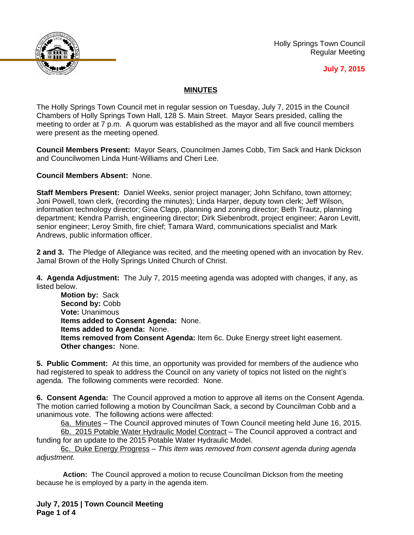

Holly Springs Town Council Regular Meeting

## **July 7, 2015**

## **MINUTES**

The Holly Springs Town Council met in regular session on Tuesday, July 7, 2015 in the Council Chambers of Holly Springs Town Hall, 128 S. Main Street. Mayor Sears presided, calling the meeting to order at 7 p.m. A quorum was established as the mayor and all five council members were present as the meeting opened.

**Council Members Present:** Mayor Sears, Councilmen James Cobb, Tim Sack and Hank Dickson and Councilwomen Linda Hunt-Williams and Cheri Lee.

**Council Members Absent:** None.

**Staff Members Present:** Daniel Weeks, senior project manager; John Schifano, town attorney; Joni Powell, town clerk, (recording the minutes); Linda Harper, deputy town clerk; Jeff Wilson, information technology director; Gina Clapp, planning and zoning director; Beth Trautz, planning department; Kendra Parrish, engineering director; Dirk Siebenbrodt, project engineer; Aaron Levitt, senior engineer; Leroy Smith, fire chief; Tamara Ward, communications specialist and Mark Andrews, public information officer.

**2 and 3.** The Pledge of Allegiance was recited, and the meeting opened with an invocation by Rev. Jamal Brown of the Holly Springs United Church of Christ.

**4. Agenda Adjustment:** The July 7, 2015 meeting agenda was adopted with changes, if any, as listed below.

**Motion by:** Sack **Second by:** Cobb **Vote:** Unanimous **Items added to Consent Agenda:** None. **Items added to Agenda:** None. **Items removed from Consent Agenda:** Item 6c. Duke Energy street light easement. **Other changes:** None.

**5. Public Comment:** At this time, an opportunity was provided for members of the audience who had registered to speak to address the Council on any variety of topics not listed on the night's agenda. The following comments were recorded: None.

**6. Consent Agenda:** The Council approved a motion to approve all items on the Consent Agenda. The motion carried following a motion by Councilman Sack, a second by Councilman Cobb and a unanimous vote. The following actions were affected:

6a. Minutes – The Council approved minutes of Town Council meeting held June 16, 2015. 6b. 2015 Potable Water Hydraulic Model Contract – The Council approved a contract and funding for an update to the 2015 Potable Water Hydraulic Model.

6c. Duke Energy Progress – *This item was removed from consent agenda during agenda adjustment.*

**Action:** The Council approved a motion to recuse Councilman Dickson from the meeting because he is employed by a party in the agenda item.

**July 7, 2015 | Town Council Meeting Page 1 of 4**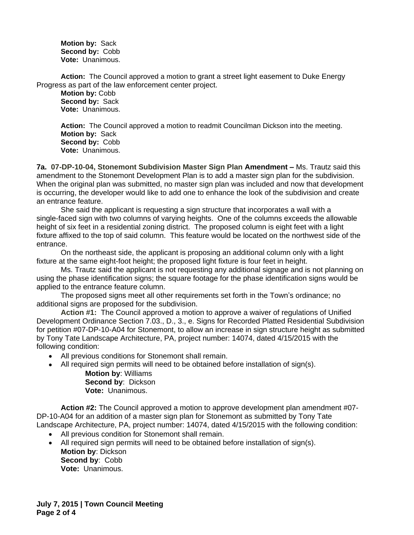**Motion by:** Sack **Second by:** Cobb **Vote:** Unanimous.

**Action:** The Council approved a motion to grant a street light easement to Duke Energy Progress as part of the law enforcement center project.

**Motion by:** Cobb **Second by:** Sack **Vote:** Unanimous.

**Action:** The Council approved a motion to readmit Councilman Dickson into the meeting. **Motion by:** Sack **Second by:** Cobb **Vote:** Unanimous.

**7a. 07-DP-10-04, Stonemont Subdivision Master Sign Plan Amendment –** Ms. Trautz said this amendment to the Stonemont Development Plan is to add a master sign plan for the subdivision. When the original plan was submitted, no master sign plan was included and now that development is occurring, the developer would like to add one to enhance the look of the subdivision and create an entrance feature.

She said the applicant is requesting a sign structure that incorporates a wall with a single-faced sign with two columns of varying heights. One of the columns exceeds the allowable height of six feet in a residential zoning district. The proposed column is eight feet with a light fixture affixed to the top of said column. This feature would be located on the northwest side of the entrance.

On the northeast side, the applicant is proposing an additional column only with a light fixture at the same eight-foot height; the proposed light fixture is four feet in height.

Ms. Trautz said the applicant is not requesting any additional signage and is not planning on using the phase identification signs; the square footage for the phase identification signs would be applied to the entrance feature column.

The proposed signs meet all other requirements set forth in the Town's ordinance; no additional signs are proposed for the subdivision.

**Action #1:** The Council approved a motion to approve a waiver of regulations of Unified Development Ordinance Section 7.03., D., 3., e. Signs for Recorded Platted Residential Subdivision for petition #07-DP-10-A04 for Stonemont, to allow an increase in sign structure height as submitted by Tony Tate Landscape Architecture, PA, project number: 14074, dated 4/15/2015 with the following condition:

- All previous conditions for Stonemont shall remain.
- All required sign permits will need to be obtained before installation of sign(s).

**Motion by**: Williams **Second by**: Dickson **Vote:** Unanimous.

**Action #2:** The Council approved a motion to approve development plan amendment #07- DP-10-A04 for an addition of a master sign plan for Stonemont as submitted by Tony Tate Landscape Architecture, PA, project number: 14074, dated 4/15/2015 with the following condition:

- All previous condition for Stonemont shall remain.
- All required sign permits will need to be obtained before installation of sign(s). **Motion by**: Dickson **Second by**: Cobb **Vote:** Unanimous.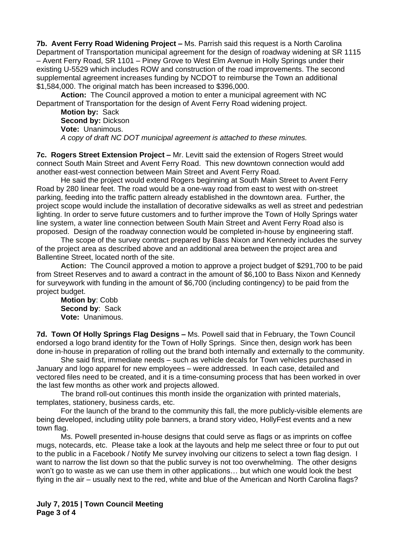**7b. Avent Ferry Road Widening Project –** Ms. Parrish said this request is a North Carolina Department of Transportation municipal agreement for the design of roadway widening at SR 1115 – Avent Ferry Road, SR 1101 – Piney Grove to West Elm Avenue in Holly Springs under their existing U-5529 which includes ROW and construction of the road improvements. The second supplemental agreement increases funding by NCDOT to reimburse the Town an additional \$1,584,000. The original match has been increased to \$396,000.

**Action:** The Council approved a motion to enter a municipal agreement with NC Department of Transportation for the design of Avent Ferry Road widening project.

**Motion by:** Sack **Second by:** Dickson **Vote:** Unanimous. *A copy of draft NC DOT municipal agreement is attached to these minutes.*

**7c. Rogers Street Extension Project –** Mr. Levitt said the extension of Rogers Street would connect South Main Street and Avent Ferry Road. This new downtown connection would add another east-west connection between Main Street and Avent Ferry Road.

He said the project would extend Rogers beginning at South Main Street to Avent Ferry Road by 280 linear feet. The road would be a one-way road from east to west with on-street parking, feeding into the traffic pattern already established in the downtown area. Further, the project scope would include the installation of decorative sidewalks as well as street and pedestrian lighting. In order to serve future customers and to further improve the Town of Holly Springs water line system, a water line connection between South Main Street and Avent Ferry Road also is proposed. Design of the roadway connection would be completed in-house by engineering staff.

The scope of the survey contract prepared by Bass Nixon and Kennedy includes the survey of the project area as described above and an additional area between the project area and Ballentine Street, located north of the site.

**Action:** The Council approved a motion to approve a project budget of \$291,700 to be paid from Street Reserves and to award a contract in the amount of \$6,100 to Bass Nixon and Kennedy for surveywork with funding in the amount of \$6,700 (including contingency) to be paid from the project budget.

**Motion by**: Cobb **Second by**: Sack **Vote:** Unanimous.

**7d. Town Of Holly Springs Flag Designs –** Ms. Powell said that in February, the Town Council endorsed a logo brand identity for the Town of Holly Springs. Since then, design work has been done in-house in preparation of rolling out the brand both internally and externally to the community.

She said first, immediate needs – such as vehicle decals for Town vehicles purchased in January and logo apparel for new employees – were addressed. In each case, detailed and vectored files need to be created, and it is a time-consuming process that has been worked in over the last few months as other work and projects allowed.

The brand roll-out continues this month inside the organization with printed materials, templates, stationery, business cards, etc.

For the launch of the brand to the community this fall, the more publicly-visible elements are being developed, including utility pole banners, a brand story video, HollyFest events and a new town flag.

Ms. Powell presented in-house designs that could serve as flags or as imprints on coffee mugs, notecards, etc. Please take a look at the layouts and help me select three or four to put out to the public in a Facebook / Notify Me survey involving our citizens to select a town flag design. I want to narrow the list down so that the public survey is not too overwhelming. The other designs won't go to waste as we can use them in other applications… but which one would look the best flying in the air – usually next to the red, white and blue of the American and North Carolina flags?